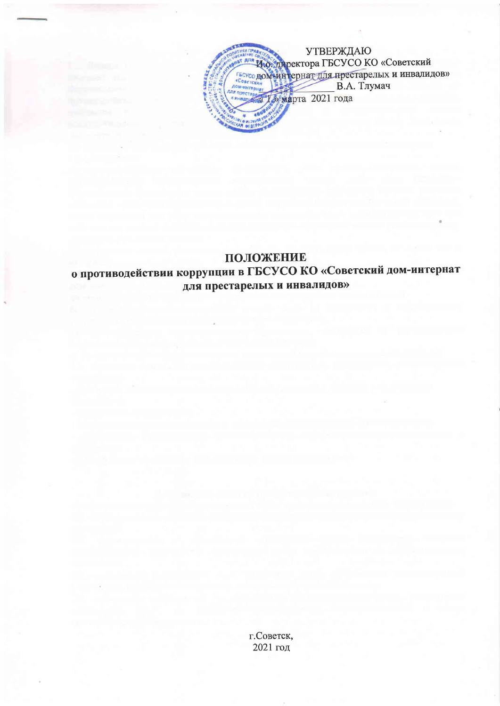

## ПОЛОЖЕНИЕ о противодействии коррупции в ГБСУСО КО «Советский дом-интернат для престарелых и инвалидов»

г.Советск, 2021 год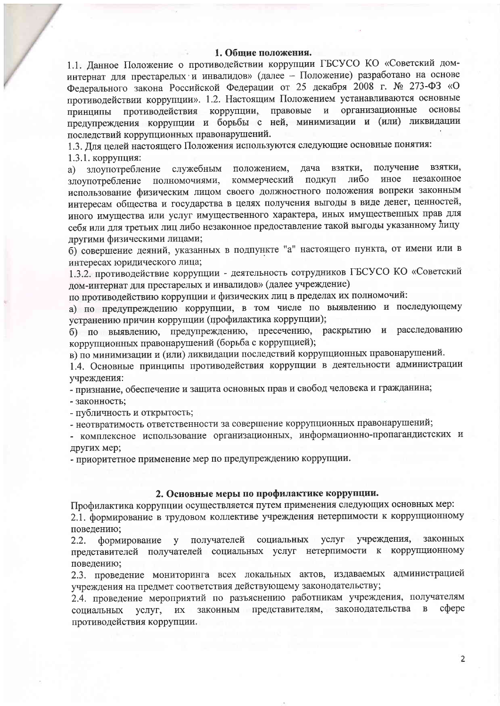#### 1. Общие положения.

1.1. Данное Положение о противодействии коррупции ГБСУСО КО «Советский доминтернат для престарелых и инвалидов» (далее - Положение) разработано на основе Федерального закона Российской Федерации от 25 декабря 2008 г. № 273-ФЗ «О противодействии коррупции». 1.2. Настоящим Положением устанавливаются основные противодействия коррупции, правовые и организационные основы принципы предупреждения коррупции и борьбы с ней, минимизации и (или) ликвидации последствий коррупционных правонарушений.

1.3. Для целей настоящего Положения используются следующие основные понятия:

1.3.1. коррупция:

служебным положением, получение взятки, злоупотребление дача взятки, a) коммерческий подкуп либо иное незаконное полномочиями, злоупотребление использование физическим лицом своего должностного положения вопреки законным интересам общества и государства в целях получения выгоды в виде денег, ценностей, иного имущества или услуг имущественного характера, иных имущественных прав для себя или для третьих лиц либо незаконное предоставление такой выгоды указанному лицу другими физическими лицами;

б) совершение деяний, указанных в подпункте "а" настоящего пункта, от имени или в интересах юридического лица;

1.3.2. противодействие коррупции - деятельность сотрудников ГБСУСО КО «Советский дом-интернат для престарелых и инвалидов» (далее учреждение)

по противодействию коррупции и физических лиц в пределах их полномочий:

а) по предупреждению коррупции, в том числе по выявлению и последующему устранению причин коррупции (профилактика коррупции);

б) по выявлению, предупреждению, пресечению, раскрытию и расследованию коррупционных правонарушений (борьба с коррупцией);

в) по минимизации и (или) ликвидации последствий коррупционных правонарушений.

1.4. Основные принципы противодействия коррупции в деятельности администрации учреждения:

- признание, обеспечение и защита основных прав и свобод человека и гражданина;

- законность;

- публичность и открытость;

- неотвратимость ответственности за совершение коррупционных правонарушений;

- комплексное использование организационных, информационно-пропагандистских и других мер;

- приоритетное применение мер по предупреждению коррупции.

#### 2. Основные меры по профилактике коррупции.

Профилактика коррупции осуществляется путем применения следующих основных мер: 2.1. формирование в трудовом коллективе учреждения нетерпимости к коррупционному поведению;

формирование у получателей социальных услуг учреждения, законных  $2.2.$ представителей получателей социальных услуг нетерпимости к коррупционному поведению;

2.3. проведение мониторинга всех локальных актов, издаваемых администрацией учреждения на предмет соответствия действующему законодательству;

2.4. проведение мероприятий по разъяснению работникам учреждения, получателям законным представителям, законодательства  $\, {\bf B}$ cobepe социальных услуг, **HX** противодействия коррупции.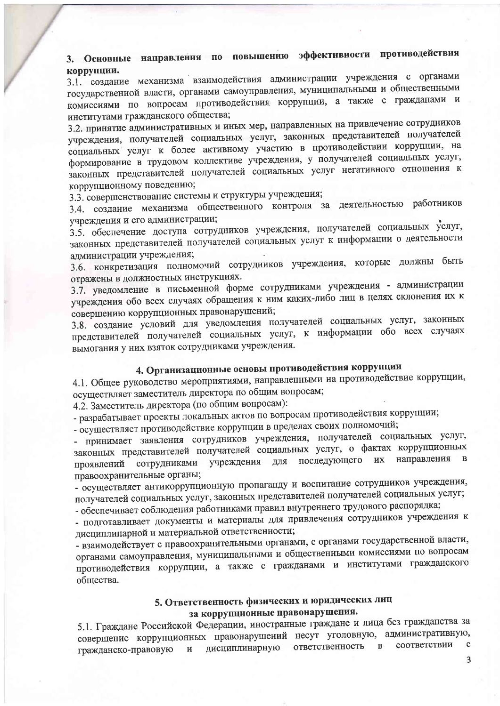## 3. Основные направления по повышению эффективности противодействия коррупции.

3.1. создание механизма взаимодействия администрации учреждения с органами государственной власти, органами самоуправления, муниципальными и общественными комиссиями по вопросам противодействия коррупции, а также с гражданами и институтами гражданского общества;

3.2. принятие административных и иных мер, направленных на привлечение сотрудников учреждения, получателей социальных услуг, законных представителей получателей социальных услуг к более активному участию в противодействии коррупции, на формирование в трудовом коллективе учреждения, у получателей социальных услуг, законных представителей получателей социальных услуг негативного отношения к коррупционному поведению;

3.3. совершенствование системы и структуры учреждения;

3.4. создание механизма общественного контроля за деятельностью работников учреждения и его администрации;

3.5. обеспечение доступа сотрудников учреждения, получателей социальных услуг, законных представителей получателей социальных услуг к информации о деятельности администрации учреждения;

3.6. конкретизация полномочий сотрудников учреждения, которые должны быть отражены в должностных инструкциях.

3.7. уведомление в письменной форме сотрудниками учреждения - администрации учреждения обо всех случаях обращения к ним каких-либо лиц в целях склонения их к совершению коррупционных правонарушений;

3.8. создание условий для уведомления получателей социальных услуг, законных представителей получателей социальных услуг, к информации обо всех случаях вымогания у них взяток сотрудниками учреждения.

# 4. Организационные основы противодействия коррупции

4.1. Общее руководство мероприятиями, направленными на противодействие коррупции, осуществляет заместитель директора по общим вопросам;

4.2. Заместитель директора (по общим вопросам):

- разрабатывает проекты локальных актов по вопросам противодействия коррупции;

- осуществляет противодействие коррупции в пределах своих полномочий;

- принимает заявления сотрудников учреждения, получателей социальных услуг, законных представителей получателей социальных услуг, о фактах коррупционных направления в учреждения для последующего их проявлений сотрудниками правоохранительные органы;

- осуществляет антикоррупционную пропаганду и воспитание сотрудников учреждения, получателей социальных услуг, законных представителей получателей социальных услуг;

- обеспечивает соблюдения работниками правил внутреннего трудового распорядка;

- подготавливает документы и материалы для привлечения сотрудников учреждения к дисциплинарной и материальной ответственности;

- взаимодействует с правоохранительными органами, с органами государственной власти, органами самоуправления, муниципальными и общественными комиссиями по вопросам противодействия коррупции, а также с гражданами и институтами гражданского общества.

### 5. Ответственность физических и юридических лиц за коррупционные правонарушения.

5.1. Граждане Российской Федерации, иностранные граждане и лица без гражданства за совершение коррупционных правонарушений несут уголовную, административную, соответствии  $\mathbf c$ ответственность  $\, {\bf B}$ гражданско-правовую дисциплинарную  $\,$   $\,$   $\,$ 

 $\overline{3}$